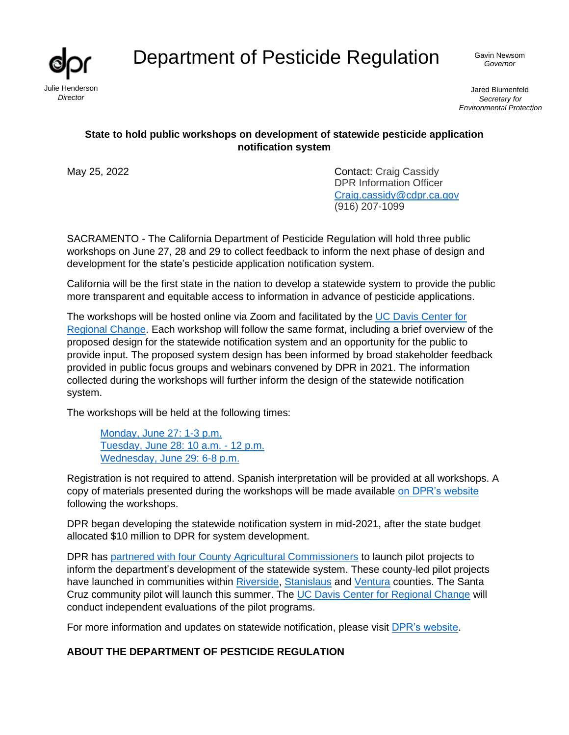

## Department of Pesticide Regulation Gavin Newsom

*Governor*

Jared Blumenfeld *Secretary for Environmental Protection*

## **State to hold public workshops on development of statewide pesticide application notification system**

May 25, 2022 **Contact: Craig Cassidy**  DPR Information Officer [Craig.cassidy@cdpr.ca.gov](mailto:Craig.cassidy@cdpr.ca.gov) (916) 207-1099

SACRAMENTO - The California Department of Pesticide Regulation will hold three public workshops on June 27, 28 and 29 to collect feedback to inform the next phase of design and development for the state's pesticide application notification system.

California will be the first state in the nation to develop a statewide system to provide the public more transparent and equitable access to information in advance of pesticide applications.

The workshops will be hosted online via Zoom and facilitated by the UC Davis Center for [Regional Change.](https://regionalchange.ucdavis.edu/) Each workshop will follow the same format, including a brief overview of the proposed design for the statewide notification system and an opportunity for the public to provide input. The proposed system design has been informed by broad stakeholder feedback provided in public focus groups and webinars convened by DPR in 2021. The information collected during the workshops will further inform the design of the statewide notification system.

The workshops will be held at the following times:

[Monday, June 27: 1-3 p.m.](https://us02web.zoom.us/j/86286216806?pwd=ELUzEsAlL1JSopLEJNqohIgFeMgHlN.1) [Tuesday, June 28: 10 a.m.](https://us02web.zoom.us/j/86403912510?pwd=6kPR63CXW7lnlHWMERFd66-mKhwwyF.1) - 12 p.m. [Wednesday, June 29: 6-8 p.m.](https://us02web.zoom.us/j/81751179873?pwd=B8Dx3UvzMh8ehKryXsmf6pYTXSYeFB.1)

Registration is not required to attend. Spanish interpretation will be provided at all workshops. A copy of materials presented during the workshops will be made available [on DPR's website](https://www.cdpr.ca.gov/docs/pesticide_notification_network/) following the workshops.

DPR began developing the statewide notification system in mid-2021, after the state budget allocated \$10 million to DPR for system development.

DPR has partnered with four [County Agricultural Commissioners](https://www.cdpr.ca.gov/docs/pressrls/2022/020322.htm) to launch pilot projects to inform the department's development of the statewide system. These county-led pilot projects have launched in communities within [Riverside,](https://www.rivcoawm.org/pesticide-notification) [Stanislaus](https://www.stanag-ext.org/noi/) and [Ventura](https://pilots.cdpr.ca.gov/ventura/) counties. The Santa Cruz community pilot will launch this summer. The [UC Davis Center for Regional Change](https://regionalchange.ucdavis.edu/) will conduct independent evaluations of the pilot programs.

For more information and updates on statewide notification, please visit [DPR's website.](https://www.cdpr.ca.gov/docs/pesticide_notification_network/)

## **ABOUT THE DEPARTMENT OF PESTICIDE REGULATION**